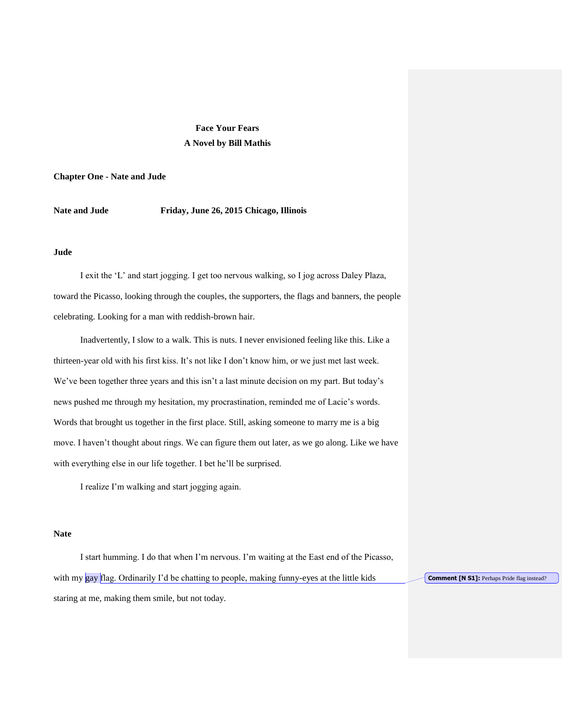# **Face Your Fears A Novel by Bill Mathis**

**Chapter One - Nate and Jude**

**Nate and Jude Friday, June 26, 2015 Chicago, Illinois**

## **Jude**

I exit the 'L' and start jogging. I get too nervous walking, so I jog across Daley Plaza, toward the Picasso, looking through the couples, the supporters, the flags and banners, the people celebrating. Looking for a man with reddish-brown hair.

Inadvertently, I slow to a walk. This is nuts. I never envisioned feeling like this. Like a thirteen-year old with his first kiss. It's not like I don't know him, or we just met last week. We've been together three years and this isn't a last minute decision on my part. But today's news pushed me through my hesitation, my procrastination, reminded me of Lacie's words. Words that brought us together in the first place. Still, asking someone to marry me is a big move. I haven't thought about rings. We can figure them out later, as we go along. Like we have with everything else in our life together. I bet he'll be surprised.

I realize I'm walking and start jogging again.

## **Nate**

I start humming. I do that when I'm nervous. I'm waiting at the East end of the Picasso, with my gay flag. Ordinarily I'd be chatting to people, making funny-eyes at the little kids staring at me, making them smile, but not today.

**Comment [N S1]:** Perhaps Pride flag instead?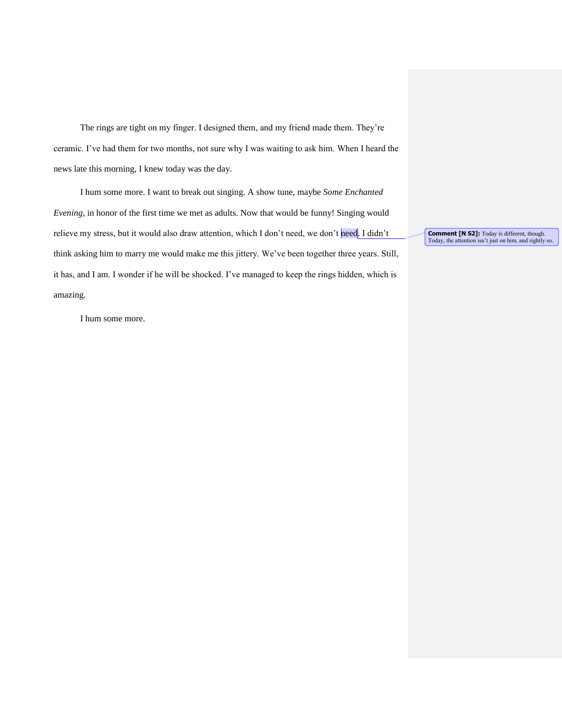The rings are tight on my finger. I designed them, and my friend made them. They're ceramic. I've had them for two months, not sure why I was waiting to ask him. When I heard the news late this morning, I knew today was the day.

I hum some more. I want to break out singing. A show tune, maybe *Some Enchanted Evening*, in honor of the first time we met as adults. Now that would be funny! Singing would relieve my stress, but it would also draw attention, which I don't need, we don't need. I didn't think asking him to marry me would make me this jittery. We've been together three years. Still, it has, and I am. I wonder if he will be shocked. I've managed to keep the rings hidden, which is amazing.

I hum some more.

**Comment [N S2]:** Today is different, though.<br>Today, the attention isn't just on him, and rightly so.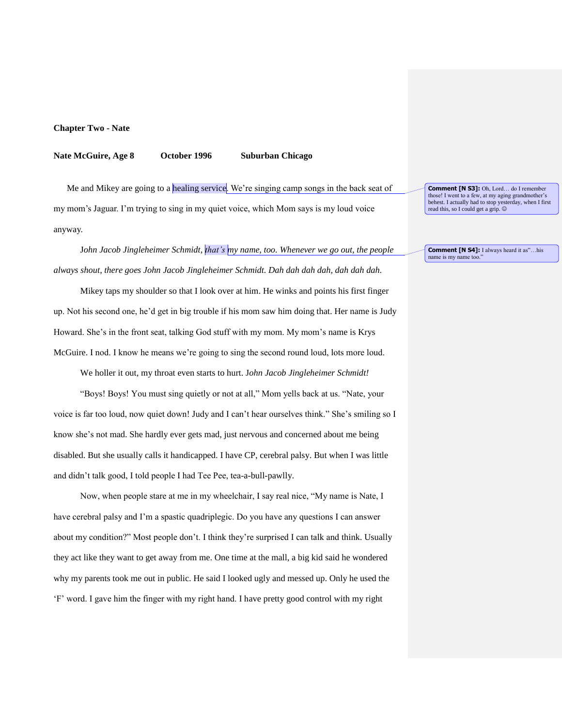### **Chapter Two - Nate**

### **Nate McGuire, Age 8 October 1996 Suburban Chicago**

Me and Mikey are going to a healing service. We're singing camp songs in the back seat of my mom's Jaguar. I'm trying to sing in my quiet voice, which Mom says is my loud voice anyway.

J*ohn Jacob Jingleheimer Schmidt, that's my name, too. Whenever we go out, the people always shout, there goes John Jacob Jingleheimer Schmidt. Dah dah dah dah, dah dah dah.*

Mikey taps my shoulder so that I look over at him. He winks and points his first finger up. Not his second one, he'd get in big trouble if his mom saw him doing that. Her name is Judy Howard. She's in the front seat, talking God stuff with my mom. My mom's name is Krys McGuire. I nod. I know he means we're going to sing the second round loud, lots more loud.

We holler it out, my throat even starts to hurt. J*ohn Jacob Jingleheimer Schmidt!*

"Boys! Boys! You must sing quietly or not at all," Mom yells back at us. "Nate, your voice is far too loud, now quiet down! Judy and I can't hear ourselves think." She's smiling so I know she's not mad. She hardly ever gets mad, just nervous and concerned about me being disabled. But she usually calls it handicapped. I have CP, cerebral palsy. But when I was little and didn't talk good, I told people I had Tee Pee, tea-a-bull-pawlly.

Now, when people stare at me in my wheelchair, I say real nice, "My name is Nate, I have cerebral palsy and I'm a spastic quadriplegic. Do you have any questions I can answer about my condition?" Most people don't. I think they're surprised I can talk and think. Usually they act like they want to get away from me. One time at the mall, a big kid said he wondered why my parents took me out in public. He said I looked ugly and messed up. Only he used the 'F' word. I gave him the finger with my right hand. I have pretty good control with my right

**Comment [N S3]:** Oh, Lord… do I remember those! I went to a few, at my aging grandmother's behest. I actually had to stop yesterday, when I first read this, so I could get a grip.

**Comment [N S4]:** I always heard it as"…his name is my name too.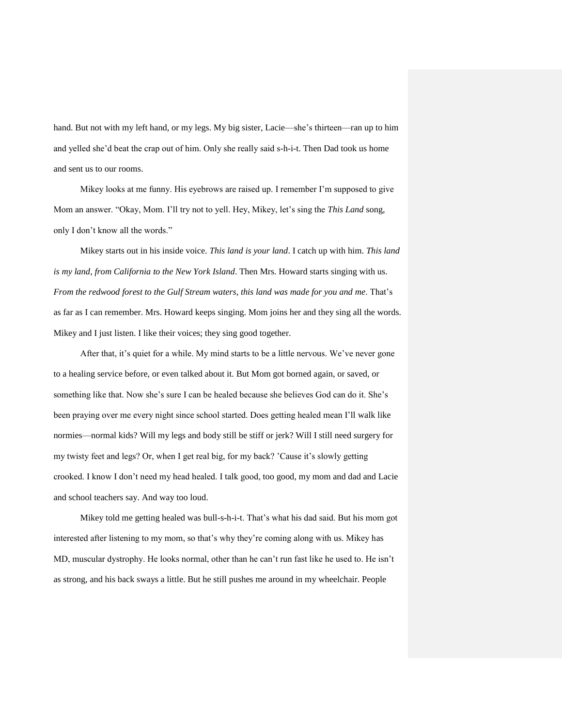hand. But not with my left hand, or my legs. My big sister, Lacie—she's thirteen—ran up to him and yelled she'd beat the crap out of him. Only she really said s-h-i-t. Then Dad took us home and sent us to our rooms.

Mikey looks at me funny. His eyebrows are raised up. I remember I'm supposed to give Mom an answer. "Okay, Mom. I'll try not to yell. Hey, Mikey, let's sing the *This Land* song, only I don't know all the words."

Mikey starts out in his inside voice. *This land is your land*. I catch up with him. *This land is my land*, *from California to the New York Island*. Then Mrs. Howard starts singing with us. *From the redwood forest to the Gulf Stream waters, this land was made for you and me*. That's as far as I can remember. Mrs. Howard keeps singing. Mom joins her and they sing all the words. Mikey and I just listen. I like their voices; they sing good together.

After that, it's quiet for a while. My mind starts to be a little nervous. We've never gone to a healing service before, or even talked about it. But Mom got borned again, or saved, or something like that. Now she's sure I can be healed because she believes God can do it. She's been praying over me every night since school started. Does getting healed mean I'll walk like normies—normal kids? Will my legs and body still be stiff or jerk? Will I still need surgery for my twisty feet and legs? Or, when I get real big, for my back? 'Cause it's slowly getting crooked. I know I don't need my head healed. I talk good, too good, my mom and dad and Lacie and school teachers say. And way too loud.

Mikey told me getting healed was bull-s-h-i-t. That's what his dad said. But his mom got interested after listening to my mom, so that's why they're coming along with us. Mikey has MD, muscular dystrophy. He looks normal, other than he can't run fast like he used to. He isn't as strong, and his back sways a little. But he still pushes me around in my wheelchair. People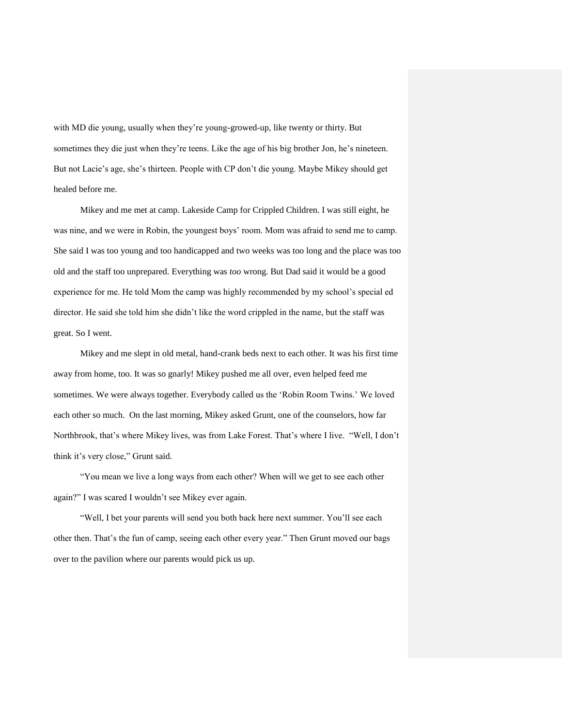with MD die young, usually when they're young-growed-up, like twenty or thirty. But sometimes they die just when they're teens. Like the age of his big brother Jon, he's nineteen. But not Lacie's age, she's thirteen. People with CP don't die young. Maybe Mikey should get healed before me.

Mikey and me met at camp. Lakeside Camp for Crippled Children. I was still eight, he was nine, and we were in Robin, the youngest boys' room. Mom was afraid to send me to camp. She said I was too young and too handicapped and two weeks was too long and the place was too old and the staff too unprepared. Everything was *too* wrong. But Dad said it would be a good experience for me. He told Mom the camp was highly recommended by my school's special ed director. He said she told him she didn't like the word crippled in the name, but the staff was great. So I went.

Mikey and me slept in old metal, hand-crank beds next to each other. It was his first time away from home, too. It was so gnarly! Mikey pushed me all over, even helped feed me sometimes. We were always together. Everybody called us the 'Robin Room Twins.' We loved each other so much. On the last morning, Mikey asked Grunt, one of the counselors, how far Northbrook, that's where Mikey lives, was from Lake Forest. That's where I live. "Well, I don't think it's very close," Grunt said.

"You mean we live a long ways from each other? When will we get to see each other again?" I was scared I wouldn't see Mikey ever again.

"Well, I bet your parents will send you both back here next summer. You'll see each other then. That's the fun of camp, seeing each other every year." Then Grunt moved our bags over to the pavilion where our parents would pick us up.